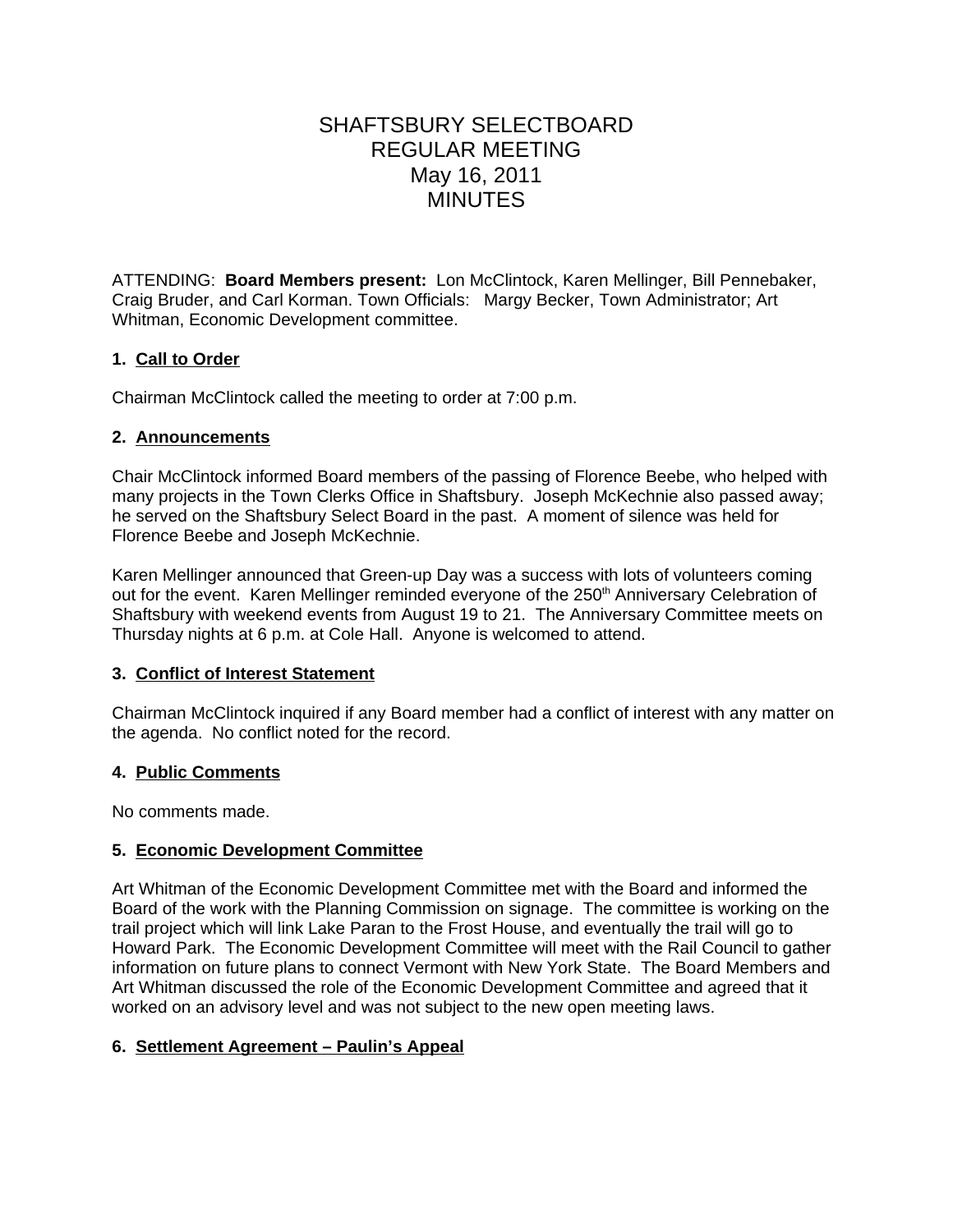# SHAFTSBURY SELECTBOARD REGULAR MEETING May 16, 2011 MINUTES

ATTENDING: **Board Members present:** Lon McClintock, Karen Mellinger, Bill Pennebaker, Craig Bruder, and Carl Korman. Town Officials: Margy Becker, Town Administrator; Art Whitman, Economic Development committee.

## **1. Call to Order**

Chairman McClintock called the meeting to order at 7:00 p.m.

#### **2. Announcements**

Chair McClintock informed Board members of the passing of Florence Beebe, who helped with many projects in the Town Clerks Office in Shaftsbury. Joseph McKechnie also passed away; he served on the Shaftsbury Select Board in the past. A moment of silence was held for Florence Beebe and Joseph McKechnie.

Karen Mellinger announced that Green-up Day was a success with lots of volunteers coming out for the event. Karen Mellinger reminded everyone of the 250<sup>th</sup> Anniversary Celebration of Shaftsbury with weekend events from August 19 to 21. The Anniversary Committee meets on Thursday nights at 6 p.m. at Cole Hall. Anyone is welcomed to attend.

### **3. Conflict of Interest Statement**

Chairman McClintock inquired if any Board member had a conflict of interest with any matter on the agenda. No conflict noted for the record.

### **4. Public Comments**

No comments made.

## **5. Economic Development Committee**

Art Whitman of the Economic Development Committee met with the Board and informed the Board of the work with the Planning Commission on signage. The committee is working on the trail project which will link Lake Paran to the Frost House, and eventually the trail will go to Howard Park. The Economic Development Committee will meet with the Rail Council to gather information on future plans to connect Vermont with New York State. The Board Members and Art Whitman discussed the role of the Economic Development Committee and agreed that it worked on an advisory level and was not subject to the new open meeting laws.

### **6. Settlement Agreement – Paulin's Appeal**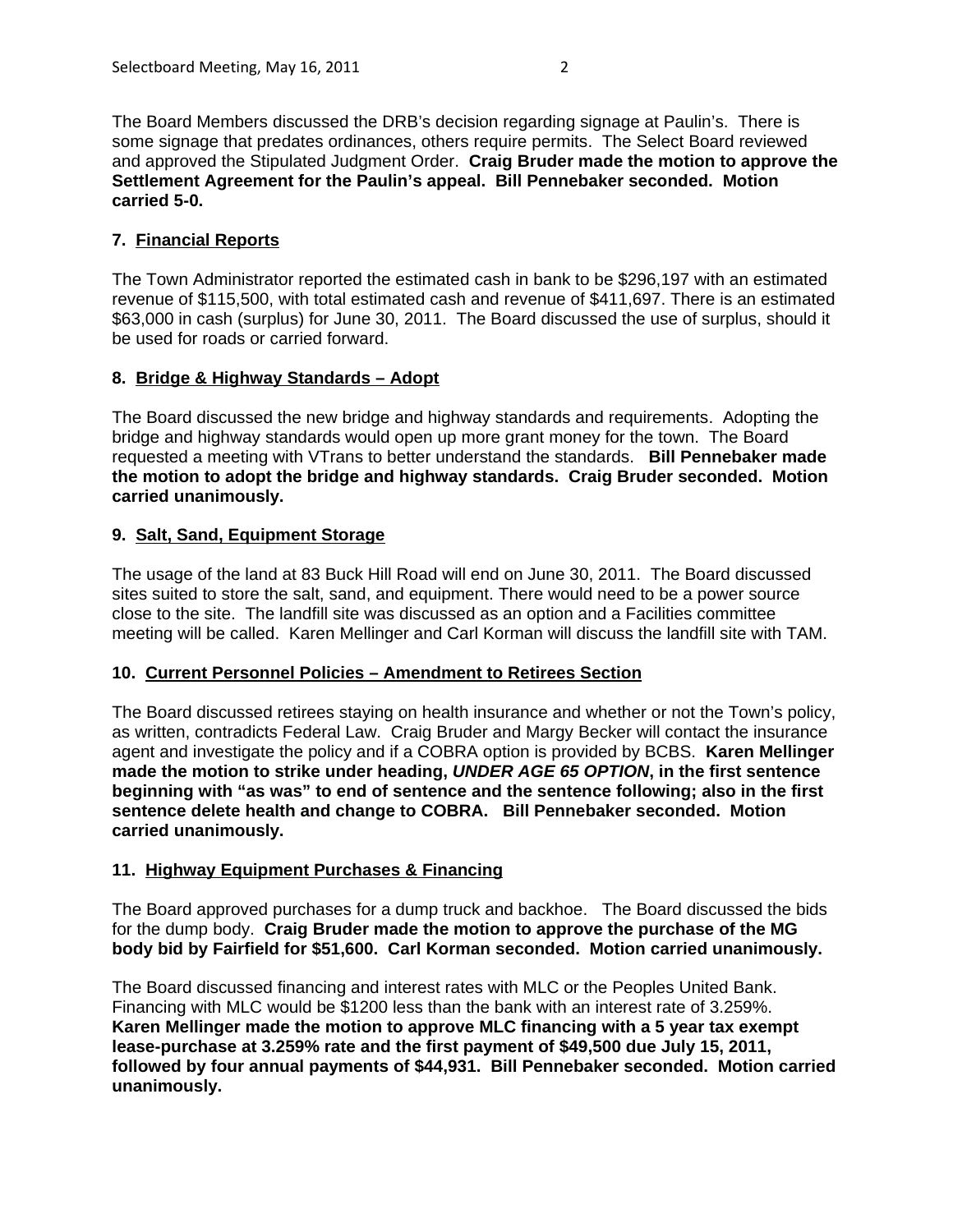The Board Members discussed the DRB's decision regarding signage at Paulin's. There is some signage that predates ordinances, others require permits. The Select Board reviewed and approved the Stipulated Judgment Order. **Craig Bruder made the motion to approve the Settlement Agreement for the Paulin's appeal. Bill Pennebaker seconded. Motion carried 5-0.**

## **7. Financial Reports**

The Town Administrator reported the estimated cash in bank to be \$296,197 with an estimated revenue of \$115,500, with total estimated cash and revenue of \$411,697. There is an estimated \$63,000 in cash (surplus) for June 30, 2011. The Board discussed the use of surplus, should it be used for roads or carried forward.

### **8. Bridge & Highway Standards – Adopt**

The Board discussed the new bridge and highway standards and requirements. Adopting the bridge and highway standards would open up more grant money for the town. The Board requested a meeting with VTrans to better understand the standards. **Bill Pennebaker made the motion to adopt the bridge and highway standards. Craig Bruder seconded. Motion carried unanimously.**

## **9. Salt, Sand, Equipment Storage**

The usage of the land at 83 Buck Hill Road will end on June 30, 2011. The Board discussed sites suited to store the salt, sand, and equipment. There would need to be a power source close to the site. The landfill site was discussed as an option and a Facilities committee meeting will be called. Karen Mellinger and Carl Korman will discuss the landfill site with TAM.

### **10. Current Personnel Policies – Amendment to Retirees Section**

The Board discussed retirees staying on health insurance and whether or not the Town's policy, as written, contradicts Federal Law. Craig Bruder and Margy Becker will contact the insurance agent and investigate the policy and if a COBRA option is provided by BCBS. **Karen Mellinger made the motion to strike under heading,** *UNDER AGE 65 OPTION***, in the first sentence beginning with "as was" to end of sentence and the sentence following; also in the first sentence delete health and change to COBRA. Bill Pennebaker seconded. Motion carried unanimously.**

## **11. Highway Equipment Purchases & Financing**

The Board approved purchases for a dump truck and backhoe. The Board discussed the bids for the dump body. **Craig Bruder made the motion to approve the purchase of the MG body bid by Fairfield for \$51,600. Carl Korman seconded. Motion carried unanimously.**

The Board discussed financing and interest rates with MLC or the Peoples United Bank. Financing with MLC would be \$1200 less than the bank with an interest rate of 3.259%. **Karen Mellinger made the motion to approve MLC financing with a 5 year tax exempt lease-purchase at 3.259% rate and the first payment of \$49,500 due July 15, 2011, followed by four annual payments of \$44,931. Bill Pennebaker seconded. Motion carried unanimously.**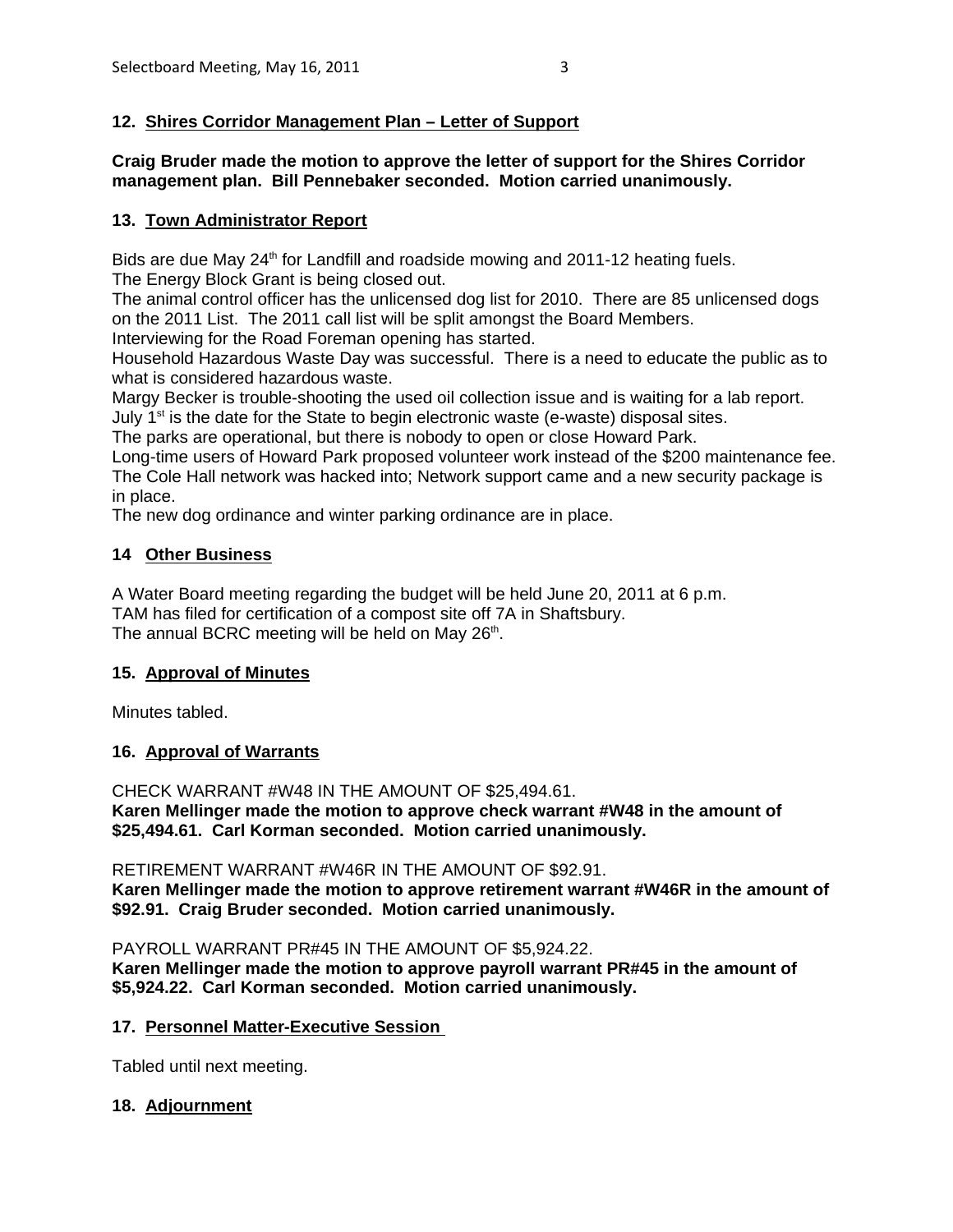## **12. Shires Corridor Management Plan – Letter of Support**

**Craig Bruder made the motion to approve the letter of support for the Shires Corridor management plan. Bill Pennebaker seconded. Motion carried unanimously.**

#### **13. Town Administrator Report**

Bids are due May  $24<sup>th</sup>$  for Landfill and roadside mowing and  $2011-12$  heating fuels. The Energy Block Grant is being closed out.

The animal control officer has the unlicensed dog list for 2010. There are 85 unlicensed dogs on the 2011 List. The 2011 call list will be split amongst the Board Members.

Interviewing for the Road Foreman opening has started.

Household Hazardous Waste Day was successful. There is a need to educate the public as to what is considered hazardous waste.

Margy Becker is trouble-shooting the used oil collection issue and is waiting for a lab report. July  $1<sup>st</sup>$  is the date for the State to begin electronic waste (e-waste) disposal sites.

The parks are operational, but there is nobody to open or close Howard Park.

Long-time users of Howard Park proposed volunteer work instead of the \$200 maintenance fee. The Cole Hall network was hacked into; Network support came and a new security package is in place.

The new dog ordinance and winter parking ordinance are in place.

### **14 Other Business**

A Water Board meeting regarding the budget will be held June 20, 2011 at 6 p.m. TAM has filed for certification of a compost site off 7A in Shaftsbury. The annual BCRC meeting will be held on May 26<sup>th</sup>.

### **15. Approval of Minutes**

Minutes tabled.

### **16. Approval of Warrants**

CHECK WARRANT #W48 IN THE AMOUNT OF \$25,494.61. **Karen Mellinger made the motion to approve check warrant #W48 in the amount of \$25,494.61. Carl Korman seconded. Motion carried unanimously.** 

RETIREMENT WARRANT #W46R IN THE AMOUNT OF \$92.91. **Karen Mellinger made the motion to approve retirement warrant #W46R in the amount of \$92.91. Craig Bruder seconded. Motion carried unanimously.** 

PAYROLL WARRANT PR#45 IN THE AMOUNT OF \$5,924.22. **Karen Mellinger made the motion to approve payroll warrant PR#45 in the amount of \$5,924.22. Carl Korman seconded. Motion carried unanimously.** 

#### **17. Personnel Matter-Executive Session**

Tabled until next meeting.

### **18. Adjournment**